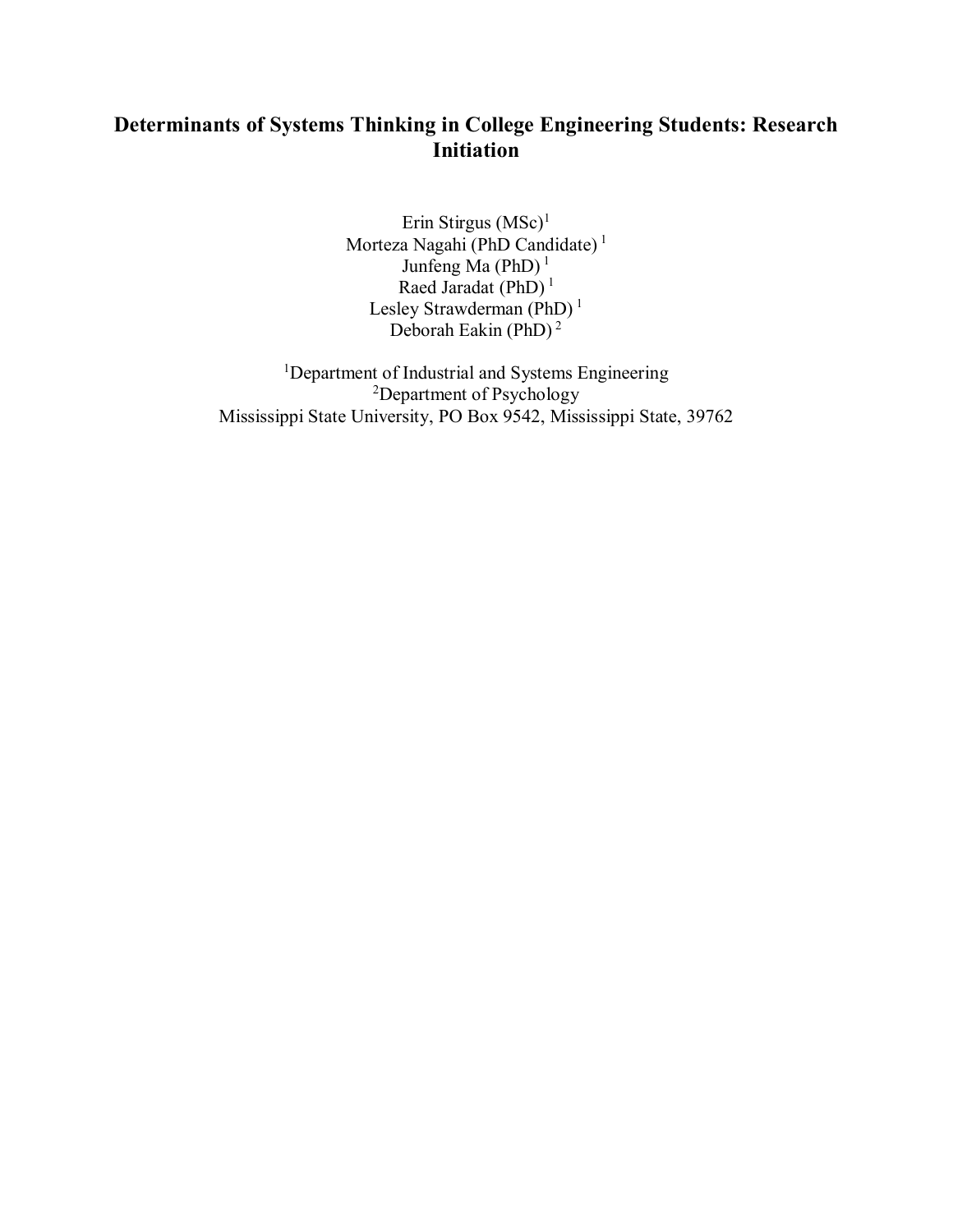# **Determinants of Systems Thinking in College Engineering Students: Research Initiation**

Erin Stirgus  $(MSc)^1$ Morteza Nagahi (PhD Candidate) <sup>1</sup> Junfeng Ma  $(PhD)^1$ Raed Jaradat (PhD)<sup>1</sup> Lesley Strawderman (PhD)<sup>1</sup> Deborah Eakin (PhD)<sup>2</sup>

<sup>1</sup>Department of Industrial and Systems Engineering <sup>2</sup>Department of Psychology Mississippi State University, PO Box 9542, Mississippi State, 39762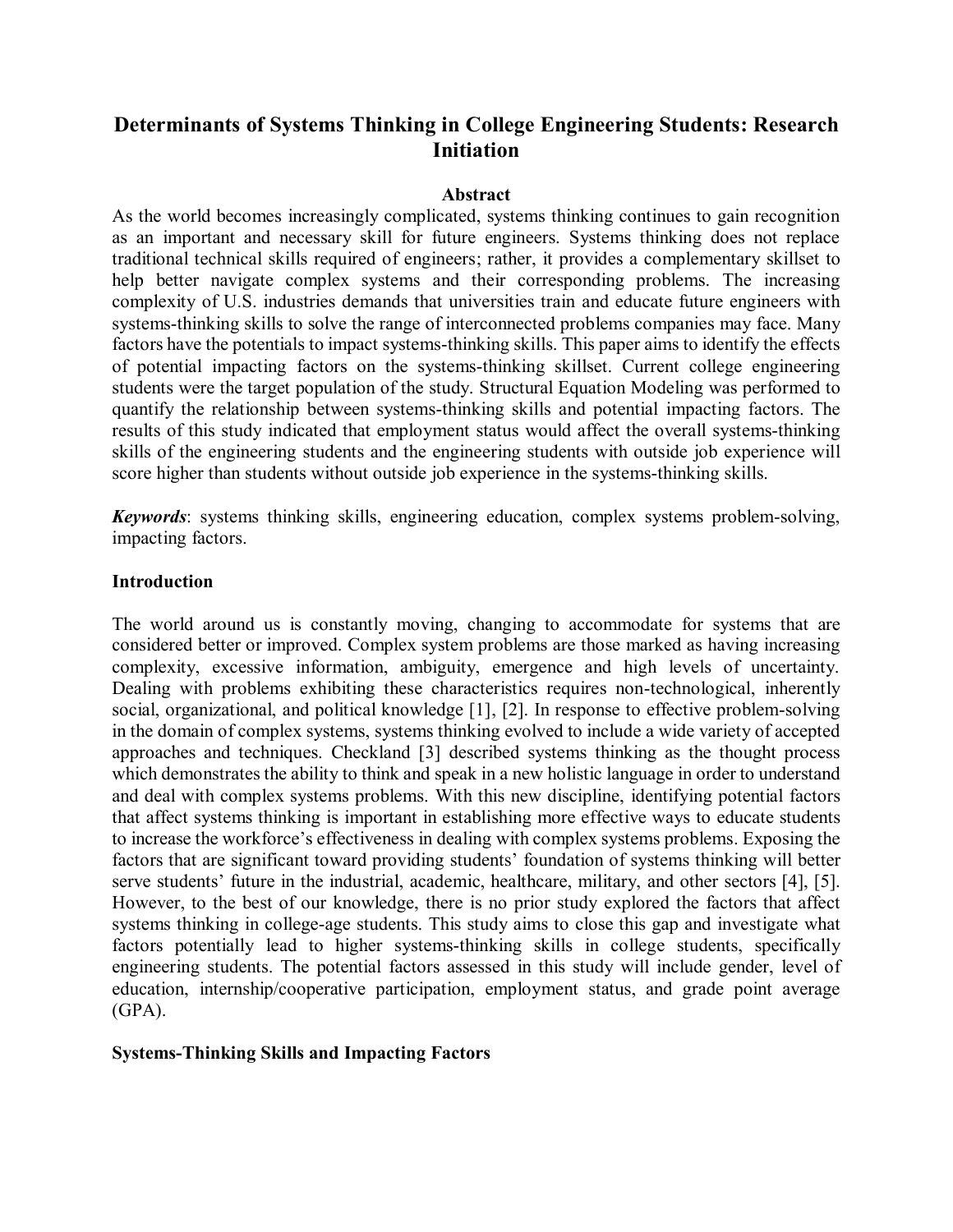# **Determinants of Systems Thinking in College Engineering Students: Research Initiation**

#### **Abstract**

As the world becomes increasingly complicated, systems thinking continues to gain recognition as an important and necessary skill for future engineers. Systems thinking does not replace traditional technical skills required of engineers; rather, it provides a complementary skillset to help better navigate complex systems and their corresponding problems. The increasing complexity of U.S. industries demands that universities train and educate future engineers with systems-thinking skills to solve the range of interconnected problems companies may face. Many factors have the potentials to impact systems-thinking skills. This paper aims to identify the effects of potential impacting factors on the systems-thinking skillset. Current college engineering students were the target population of the study. Structural Equation Modeling was performed to quantify the relationship between systems-thinking skills and potential impacting factors. The results of this study indicated that employment status would affect the overall systems-thinking skills of the engineering students and the engineering students with outside job experience will score higher than students without outside job experience in the systems-thinking skills.

*Keywords*: systems thinking skills, engineering education, complex systems problem-solving, impacting factors.

#### **Introduction**

The world around us is constantly moving, changing to accommodate for systems that are considered better or improved. Complex system problems are those marked as having increasing complexity, excessive information, ambiguity, emergence and high levels of uncertainty. Dealing with problems exhibiting these characteristics requires non-technological, inherently social, organizational, and political knowledge [1], [2]. In response to effective problem-solving in the domain of complex systems, systems thinking evolved to include a wide variety of accepted approaches and techniques. Checkland [3] described systems thinking as the thought process which demonstrates the ability to think and speak in a new holistic language in order to understand and deal with complex systems problems. With this new discipline, identifying potential factors that affect systems thinking is important in establishing more effective ways to educate students to increase the workforce's effectiveness in dealing with complex systems problems. Exposing the factors that are significant toward providing students' foundation of systems thinking will better serve students' future in the industrial, academic, healthcare, military, and other sectors [4], [5]. However, to the best of our knowledge, there is no prior study explored the factors that affect systems thinking in college-age students. This study aims to close this gap and investigate what factors potentially lead to higher systems-thinking skills in college students, specifically engineering students. The potential factors assessed in this study will include gender, level of education, internship/cooperative participation, employment status, and grade point average  $(GPA)$ .

#### **Systems-Thinking Skills and Impacting Factors**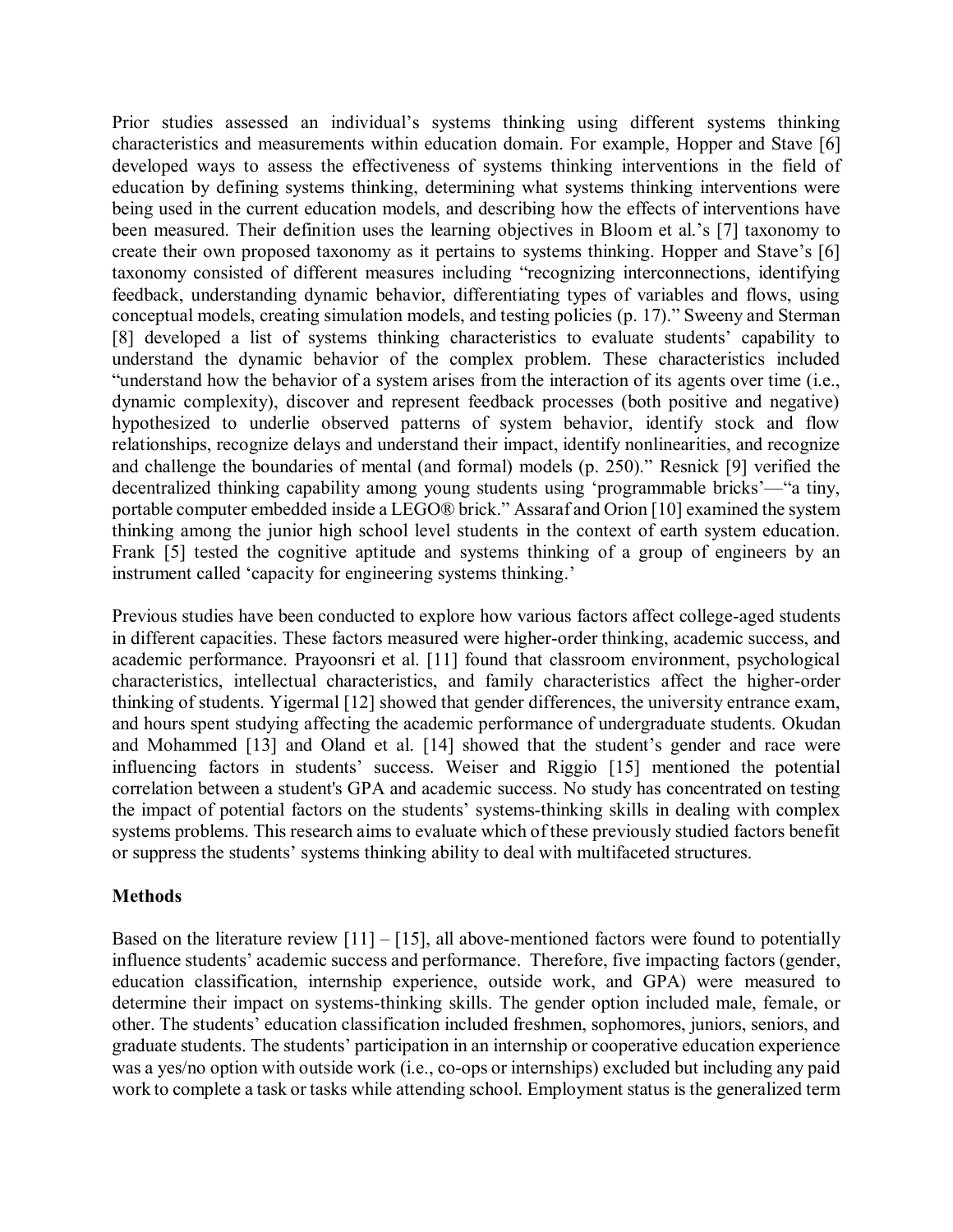Prior studies assessed an individual's systems thinking using different systems thinking characteristics and measurements within education domain. For example, Hopper and Stave [6] developed ways to assess the effectiveness of systems thinking interventions in the field of education by defining systems thinking, determining what systems thinking interventions were being used in the current education models, and describing how the effects of interventions have been measured. Their definition uses the learning objectives in Bloom et al.'s [7] taxonomy to create their own proposed taxonomy as it pertains to systems thinking. Hopper and Stave's [6] taxonomy consisted of different measures including "recognizing interconnections, identifying feedback, understanding dynamic behavior, differentiating types of variables and flows, using conceptual models, creating simulation models, and testing policies (p. 17)." Sweeny and Sterman [8] developed a list of systems thinking characteristics to evaluate students' capability to understand the dynamic behavior of the complex problem. These characteristics included "understand how the behavior of a system arises from the interaction of its agents over time (i.e., dynamic complexity), discover and represent feedback processes (both positive and negative) hypothesized to underlie observed patterns of system behavior, identify stock and flow relationships, recognize delays and understand their impact, identify nonlinearities, and recognize and challenge the boundaries of mental (and formal) models (p. 250)." Resnick [9] verified the decentralized thinking capability among young students using 'programmable bricks'—"a tiny, portable computer embedded inside a LEGO® brick." Assaraf and Orion [10] examined the system thinking among the junior high school level students in the context of earth system education. Frank [5] tested the cognitive aptitude and systems thinking of a group of engineers by an instrument called 'capacity for engineering systems thinking.'

Previous studies have been conducted to explore how various factors affect college-aged students in different capacities. These factors measured were higher-order thinking, academic success, and academic performance. Prayoonsri et al. [11] found that classroom environment, psychological characteristics, intellectual characteristics, and family characteristics affect the higher-order thinking of students. Yigermal [12] showed that gender differences, the university entrance exam, and hours spent studying affecting the academic performance of undergraduate students. Okudan and Mohammed [13] and Oland et al. [14] showed that the student's gender and race were influencing factors in students' success. Weiser and Riggio [15] mentioned the potential correlation between a student's GPA and academic success. No study has concentrated on testing the impact of potential factors on the students' systems-thinking skills in dealing with complex systems problems. This research aims to evaluate which of these previously studied factors benefit or suppress the students' systems thinking ability to deal with multifaceted structures.

#### **Methods**

Based on the literature review  $[11] - [15]$ , all above-mentioned factors were found to potentially influence students' academic success and performance. Therefore, five impacting factors (gender, education classification, internship experience, outside work, and GPA) were measured to determine their impact on systems-thinking skills. The gender option included male, female, or other. The students' education classification included freshmen, sophomores, juniors, seniors, and graduate students. The students' participation in an internship or cooperative education experience was a yes/no option with outside work (i.e., co-ops or internships) excluded but including any paid work to complete a task or tasks while attending school. Employment status is the generalized term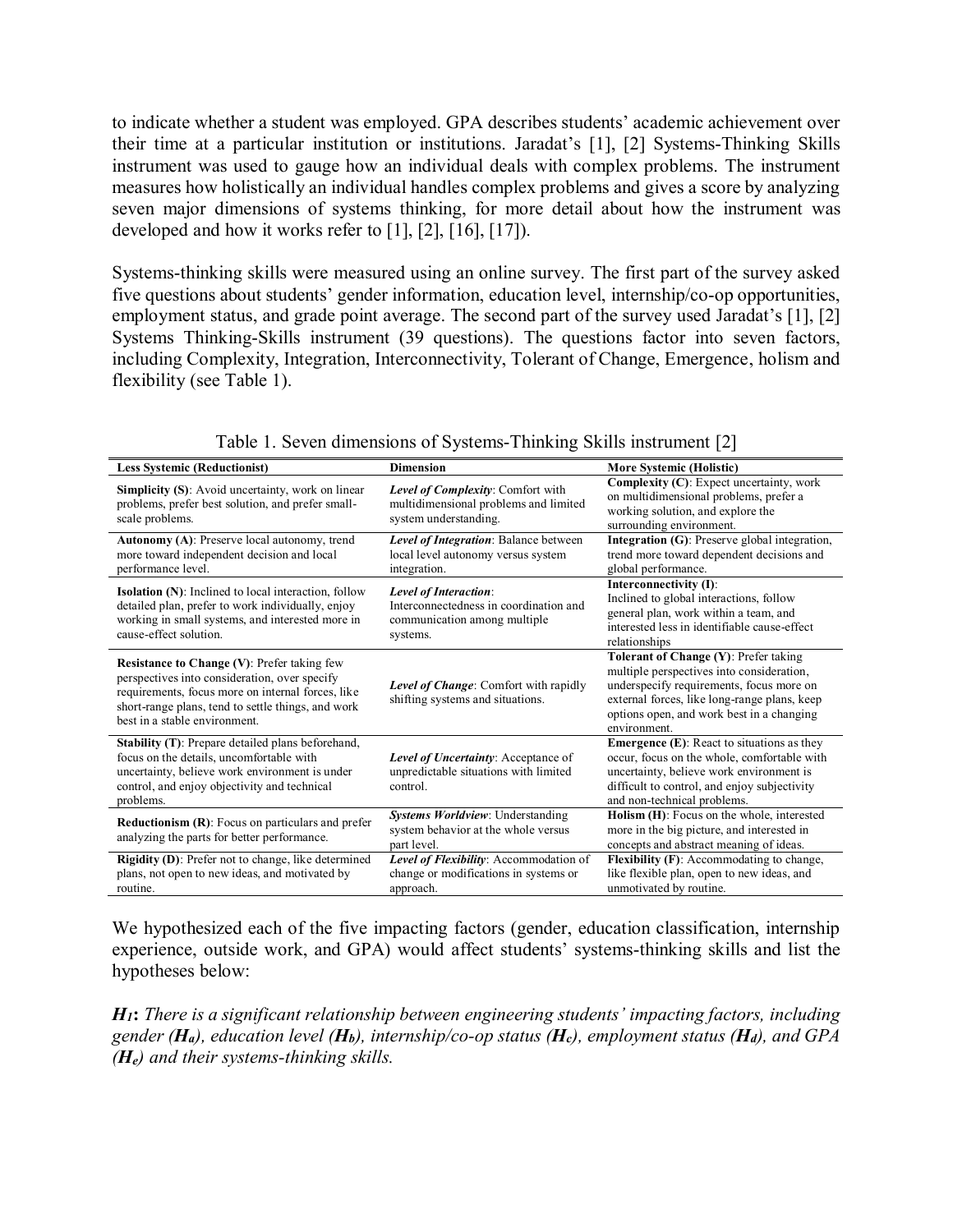to indicate whether a student was employed. GPA describes students' academic achievement over their time at a particular institution or institutions. Jaradat's [1], [2] Systems-Thinking Skills instrument was used to gauge how an individual deals with complex problems. The instrument measures how holistically an individual handles complex problems and gives a score by analyzing seven major dimensions of systems thinking, for more detail about how the instrument was developed and how it works refer to [1], [2], [16], [17]).

Systems-thinking skills were measured using an online survey. The first part of the survey asked five questions about students' gender information, education level, internship/co-op opportunities, employment status, and grade point average. The second part of the survey used Jaradat's [1], [2] Systems Thinking-Skills instrument (39 questions). The questions factor into seven factors, including Complexity, Integration, Interconnectivity, Tolerant of Change, Emergence, holism and flexibility (see Table 1).

| <b>Less Systemic (Reductionist)</b>                                                                                                                                                                                                             | <b>Dimension</b>                                                                                                   | More Systemic (Holistic)                                                                                                                                                                                                                    |  |  |  |
|-------------------------------------------------------------------------------------------------------------------------------------------------------------------------------------------------------------------------------------------------|--------------------------------------------------------------------------------------------------------------------|---------------------------------------------------------------------------------------------------------------------------------------------------------------------------------------------------------------------------------------------|--|--|--|
| <b>Simplicity (S)</b> : Avoid uncertainty, work on linear<br>problems, prefer best solution, and prefer small-<br>scale problems.                                                                                                               | Level of Complexity: Comfort with<br>multidimensional problems and limited<br>system understanding.                | Complexity (C): Expect uncertainty, work<br>on multidimensional problems, prefer a<br>working solution, and explore the<br>surrounding environment.                                                                                         |  |  |  |
| Autonomy (A): Preserve local autonomy, trend<br>more toward independent decision and local<br>performance level.                                                                                                                                | Level of Integration: Balance between<br>local level autonomy versus system<br>integration.                        | Integration (G): Preserve global integration,<br>trend more toward dependent decisions and<br>global performance.                                                                                                                           |  |  |  |
| <b>Isolation (N):</b> Inclined to local interaction, follow<br>detailed plan, prefer to work individually, enjoy<br>working in small systems, and interested more in<br>cause-effect solution.                                                  | <b>Level of Interaction:</b><br>Interconnectedness in coordination and<br>communication among multiple<br>systems. | Interconnectivity (I):<br>Inclined to global interactions, follow<br>general plan, work within a team, and<br>interested less in identifiable cause-effect<br>relationships                                                                 |  |  |  |
| <b>Resistance to Change (V): Prefer taking few</b><br>perspectives into consideration, over specify<br>requirements, focus more on internal forces, like<br>short-range plans, tend to settle things, and work<br>best in a stable environment. | <b>Level of Change:</b> Comfort with rapidly<br>shifting systems and situations.                                   | Tolerant of Change (Y): Prefer taking<br>multiple perspectives into consideration,<br>underspecify requirements, focus more on<br>external forces, like long-range plans, keep<br>options open, and work best in a changing<br>environment. |  |  |  |
| Stability (T): Prepare detailed plans beforehand,<br>focus on the details, uncomfortable with<br>uncertainty, believe work environment is under<br>control, and enjoy objectivity and technical<br>problems.                                    | Level of Uncertainty: Acceptance of<br>unpredictable situations with limited<br>control.                           | Emergence (E): React to situations as they<br>occur, focus on the whole, comfortable with<br>uncertainty, believe work environment is<br>difficult to control, and enjoy subjectivity<br>and non-technical problems.                        |  |  |  |
| Reductionism (R): Focus on particulars and prefer<br>analyzing the parts for better performance.                                                                                                                                                | Systems Worldview: Understanding<br>system behavior at the whole versus<br>part level.                             | Holism (H): Focus on the whole, interested<br>more in the big picture, and interested in<br>concepts and abstract meaning of ideas.                                                                                                         |  |  |  |
| <b>Rigidity (D):</b> Prefer not to change, like determined<br>plans, not open to new ideas, and motivated by<br>routine.                                                                                                                        | Level of Flexibility: Accommodation of<br>change or modifications in systems or<br>approach.                       | Flexibility (F): Accommodating to change,<br>like flexible plan, open to new ideas, and<br>unmotivated by routine.                                                                                                                          |  |  |  |

Table 1. Seven dimensions of Systems-Thinking Skills instrument [2]

We hypothesized each of the five impacting factors (gender, education classification, internship experience, outside work, and GPA) would affect students' systems-thinking skills and list the hypotheses below:

*H1***:** *There is a significant relationship between engineering students' impacting factors, including gender (Ha), education level (Hb), internship/co-op status (Hc), employment status (Hd), and GPA (He) and their systems-thinking skills.*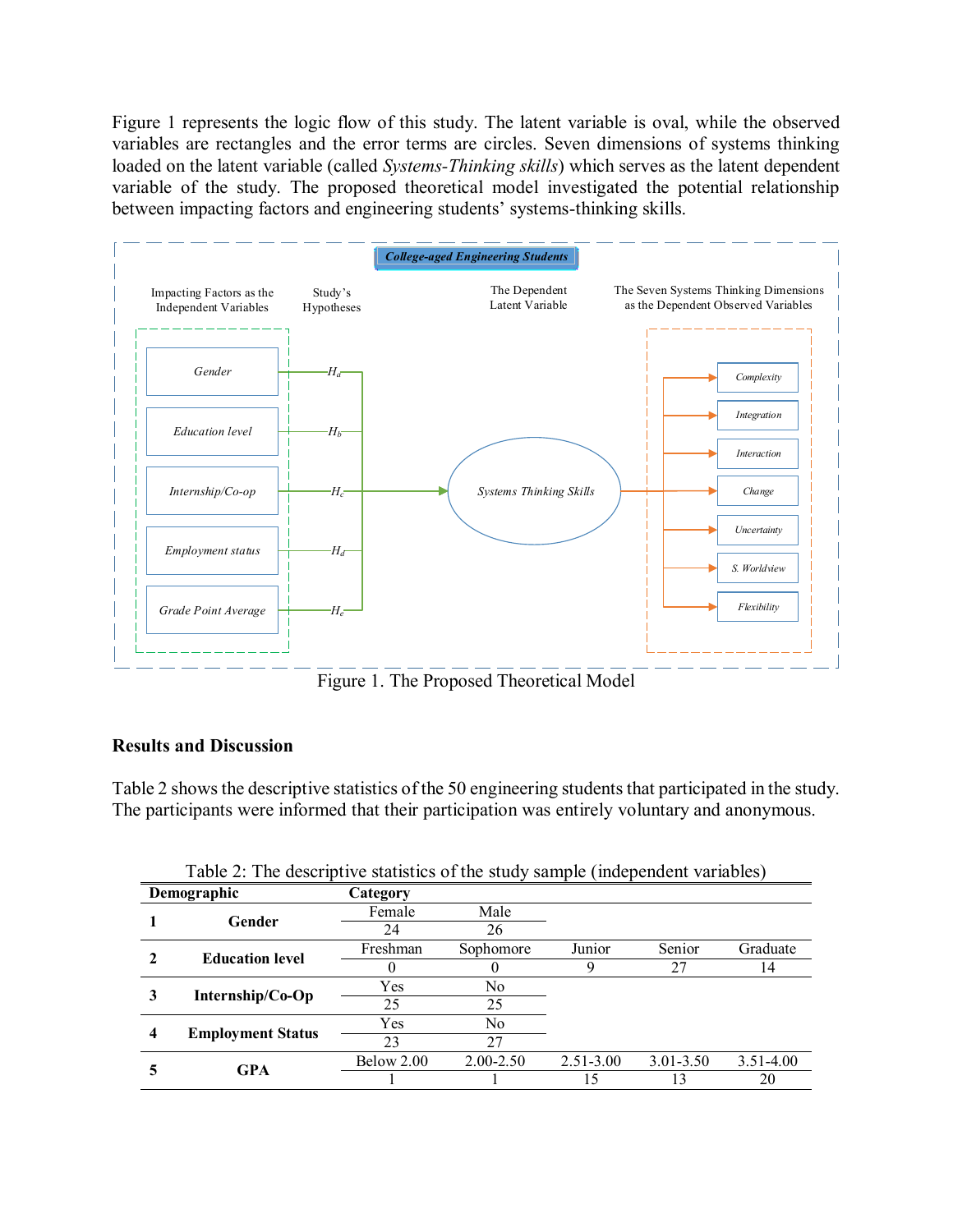Figure 1 represents the logic flow of this study. The latent variable is oval, while the observed variables are rectangles and the error terms are circles. Seven dimensions of systems thinking loaded on the latent variable (called *Systems-Thinking skills*) which serves as the latent dependent variable of the study. The proposed theoretical model investigated the potential relationship between impacting factors and engineering students' systems-thinking skills.



Figure 1. The Proposed Theoretical Model

## **Results and Discussion**

Table 2 shows the descriptive statistics of the 50 engineering students that participated in the study. The participants were informed that their participation was entirely voluntary and anonymous.

|                                              | л.<br>Demographic | Category   |               | $\overline{\phantom{a}}$<br>$\overline{\phantom{a}}$ |               |               |
|----------------------------------------------|-------------------|------------|---------------|------------------------------------------------------|---------------|---------------|
|                                              | Gender            | Female     | Male          |                                                      |               |               |
|                                              |                   | 24         | 26            |                                                      |               |               |
| <b>Education level</b><br>$\mathbf{2}$       |                   | Freshman   | Sophomore     | Junior                                               | Senior        | Graduate      |
|                                              |                   |            |               | 9                                                    | 27            | 14            |
|                                              | Internship/Co-Op  | Yes        | No            |                                                      |               |               |
|                                              |                   | 25         | 25            |                                                      |               |               |
| <b>Employment Status</b><br>$\boldsymbol{4}$ |                   | Yes        | No            |                                                      |               |               |
|                                              |                   | 23         | 27            |                                                      |               |               |
|                                              | GPA               | Below 2.00 | $2.00 - 2.50$ | $2.51 - 3.00$                                        | $3.01 - 3.50$ | $3.51 - 4.00$ |
|                                              |                   |            |               | 15                                                   | 13            | 20            |

Table 2: The descriptive statistics of the study sample (independent variables)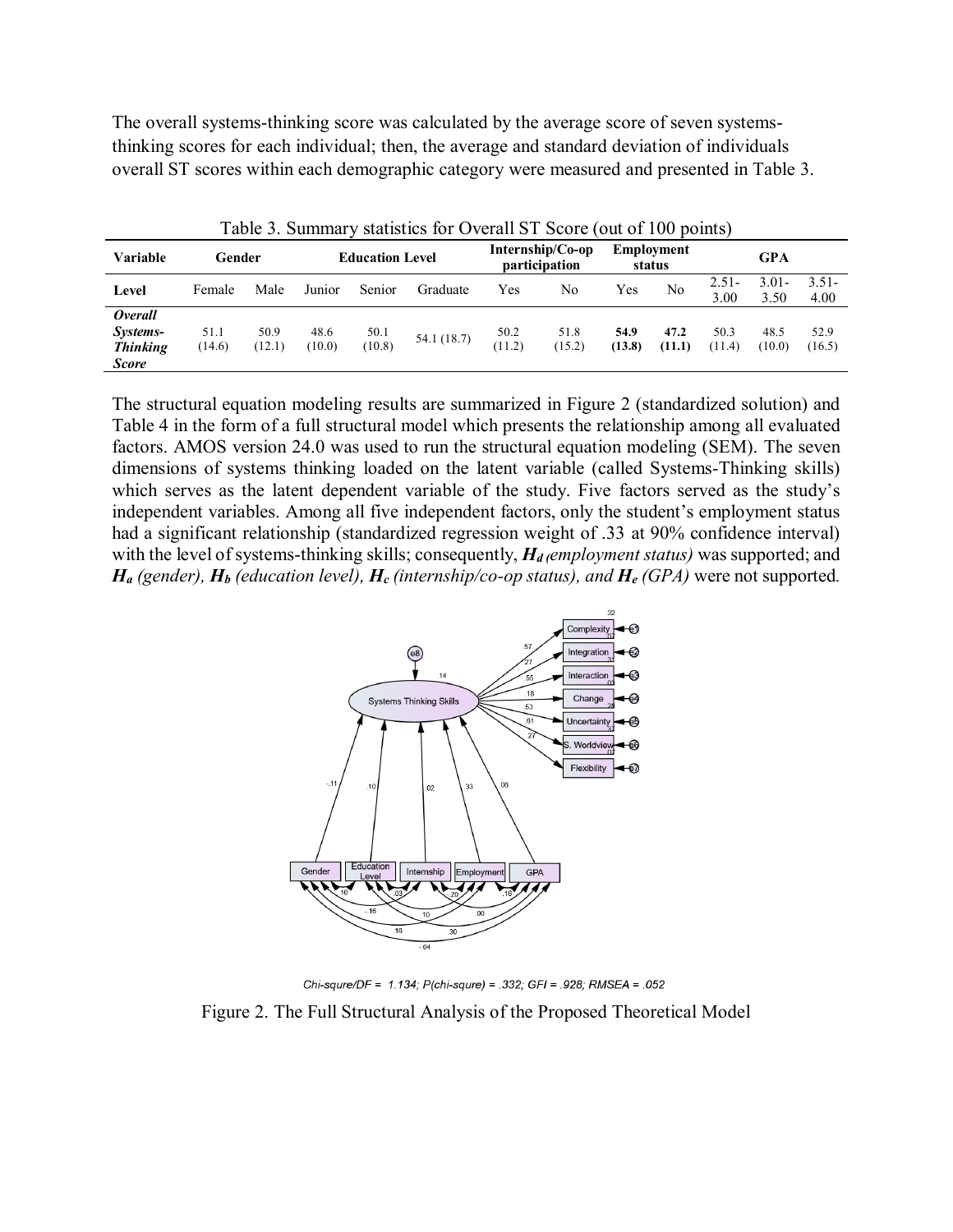The overall systems-thinking score was calculated by the average score of seven systemsthinking scores for each individual; then, the average and standard deviation of individuals overall ST scores within each demographic category were measured and presented in Table 3.

| <b>Variable</b>                                                      | Gender         |                | <b>Education Level</b> |                | Internship/ $Co$ -op<br>participation |                | <b>Employment</b><br>status |                | <b>GPA</b>     |                  |                  |                  |
|----------------------------------------------------------------------|----------------|----------------|------------------------|----------------|---------------------------------------|----------------|-----------------------------|----------------|----------------|------------------|------------------|------------------|
| Level                                                                | Female         | Male           | Junior                 | Senior         | Graduate                              | Yes            | No                          | Yes            | No             | $2.51 -$<br>3.00 | $3.01 -$<br>3.50 | $3.51 -$<br>4.00 |
| <i><b>Overall</b></i><br>Systems-<br><b>Thinking</b><br><b>Score</b> | 51.1<br>(14.6) | 50.9<br>(12.1) | 48.6<br>(10.0)         | 50.1<br>(10.8) | 54.1 (18.7)                           | 50.2<br>(11.2) | 51.8<br>(15.2)              | 54.9<br>(13.8) | 47.2<br>(11.1) | 50.3<br>(11.4)   | 48.5<br>(10.0)   | 52.9<br>(16.5)   |

Table 3. Summary statistics for Overall ST Score (out of 100 points)

The structural equation modeling results are summarized in Figure 2 (standardized solution) and Table 4 in the form of a full structural model which presents the relationship among all evaluated factors. AMOS version 24.0 was used to run the structural equation modeling (SEM). The seven dimensions of systems thinking loaded on the latent variable (called Systems-Thinking skills) which serves as the latent dependent variable of the study. Five factors served as the study's independent variables. Among all five independent factors, only the student's employment status had a significant relationship (standardized regression weight of .33 at 90% confidence interval) with the level of systems-thinking skills; consequently, *Hd (employment status)* was supported; and  $H_a$  (gender),  $H_b$  (education level),  $H_c$  (internship/co-op status), and  $H_e$  (GPA) were not supported.



Chi-squre/DF = 1.134; P(chi-squre) = .332; GFI = .928; RMSEA = .052

Figure 2. The Full Structural Analysis of the Proposed Theoretical Model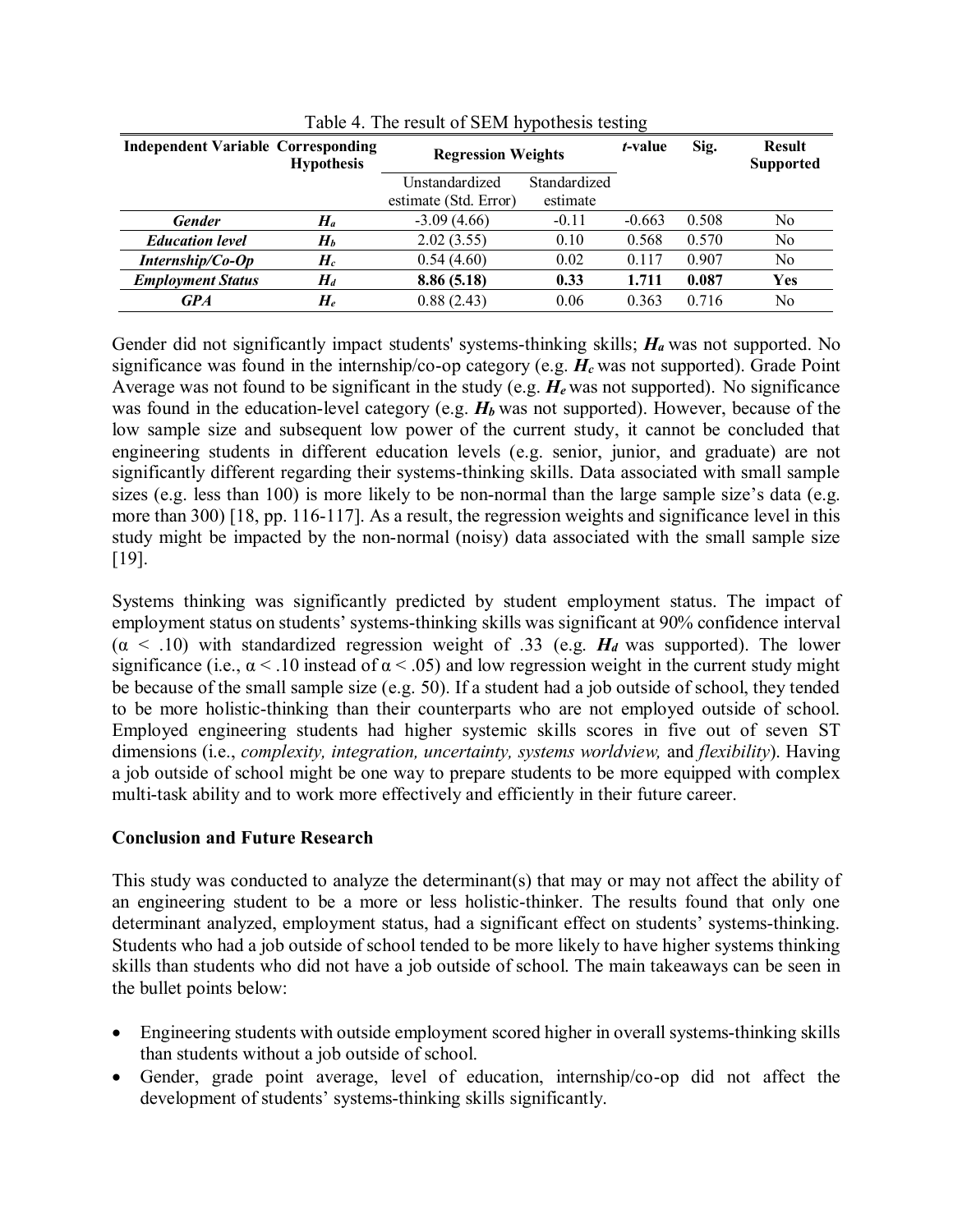| <b>Independent Variable Corresponding</b> | <b>Hypothesis</b>  | <b>Regression Weights</b> | <i>t</i> -value | Sig.     | <b>Result</b><br><b>Supported</b> |     |
|-------------------------------------------|--------------------|---------------------------|-----------------|----------|-----------------------------------|-----|
|                                           |                    | Unstandardized            | Standardized    |          |                                   |     |
|                                           |                    | estimate (Std. Error)     | estimate        |          |                                   |     |
| <b>Gender</b>                             | $H_a$              | $-3.09(4.66)$             | $-0.11$         | $-0.663$ | 0.508                             | No  |
| <b>Education level</b>                    | $H_b$              | 2.02(3.55)                | 0.10            | 0.568    | 0.570                             | No  |
| Internship/Co-Op                          | $H_c$              | 0.54(4.60)                | 0.02            | 0.117    | 0.907                             | No  |
| <b>Employment Status</b>                  | $\boldsymbol{H_d}$ | 8.86(5.18)                | 0.33            | 1.711    | 0.087                             | Yes |
| <b>GPA</b>                                | $H_e$              | 0.88(2.43)                | 0.06            | 0.363    | 0.716                             | No  |

Table 4. The result of SEM hypothesis testing

Gender did not significantly impact students' systems-thinking skills; *H<sup>a</sup>* was not supported. No significance was found in the internship/co-op category (e.g. *Hc* was not supported). Grade Point Average was not found to be significant in the study (e.g. *He* was not supported). No significance was found in the education-level category (e.g.  $H_b$  was not supported). However, because of the low sample size and subsequent low power of the current study, it cannot be concluded that engineering students in different education levels (e.g. senior, junior, and graduate) are not significantly different regarding their systems-thinking skills. Data associated with small sample sizes (e.g. less than 100) is more likely to be non-normal than the large sample size's data (e.g. more than 300) [18, pp. 116-117]. As a result, the regression weights and significance level in this study might be impacted by the non-normal (noisy) data associated with the small sample size [19].

Systems thinking was significantly predicted by student employment status. The impact of employment status on students' systems-thinking skills was significant at 90% confidence interval  $(\alpha \leq .10)$  with standardized regression weight of .33 (e.g.  $H_d$  was supported). The lower significance (i.e.,  $\alpha$  < .10 instead of  $\alpha$  < .05) and low regression weight in the current study might be because of the small sample size (e.g. 50). If a student had a job outside of school, they tended to be more holistic-thinking than their counterparts who are not employed outside of school. Employed engineering students had higher systemic skills scores in five out of seven ST dimensions (i.e., *complexity, integration, uncertainty, systems worldview,* and *flexibility*). Having a job outside of school might be one way to prepare students to be more equipped with complex multi-task ability and to work more effectively and efficiently in their future career.

#### **Conclusion and Future Research**

This study was conducted to analyze the determinant(s) that may or may not affect the ability of an engineering student to be a more or less holistic-thinker. The results found that only one determinant analyzed, employment status, had a significant effect on students' systems-thinking. Students who had a job outside of school tended to be more likely to have higher systems thinking skills than students who did not have a job outside of school. The main takeaways can be seen in the bullet points below:

- Engineering students with outside employment scored higher in overall systems-thinking skills than students without a job outside of school.
- Gender, grade point average, level of education, internship/co-op did not affect the development of students' systems-thinking skills significantly.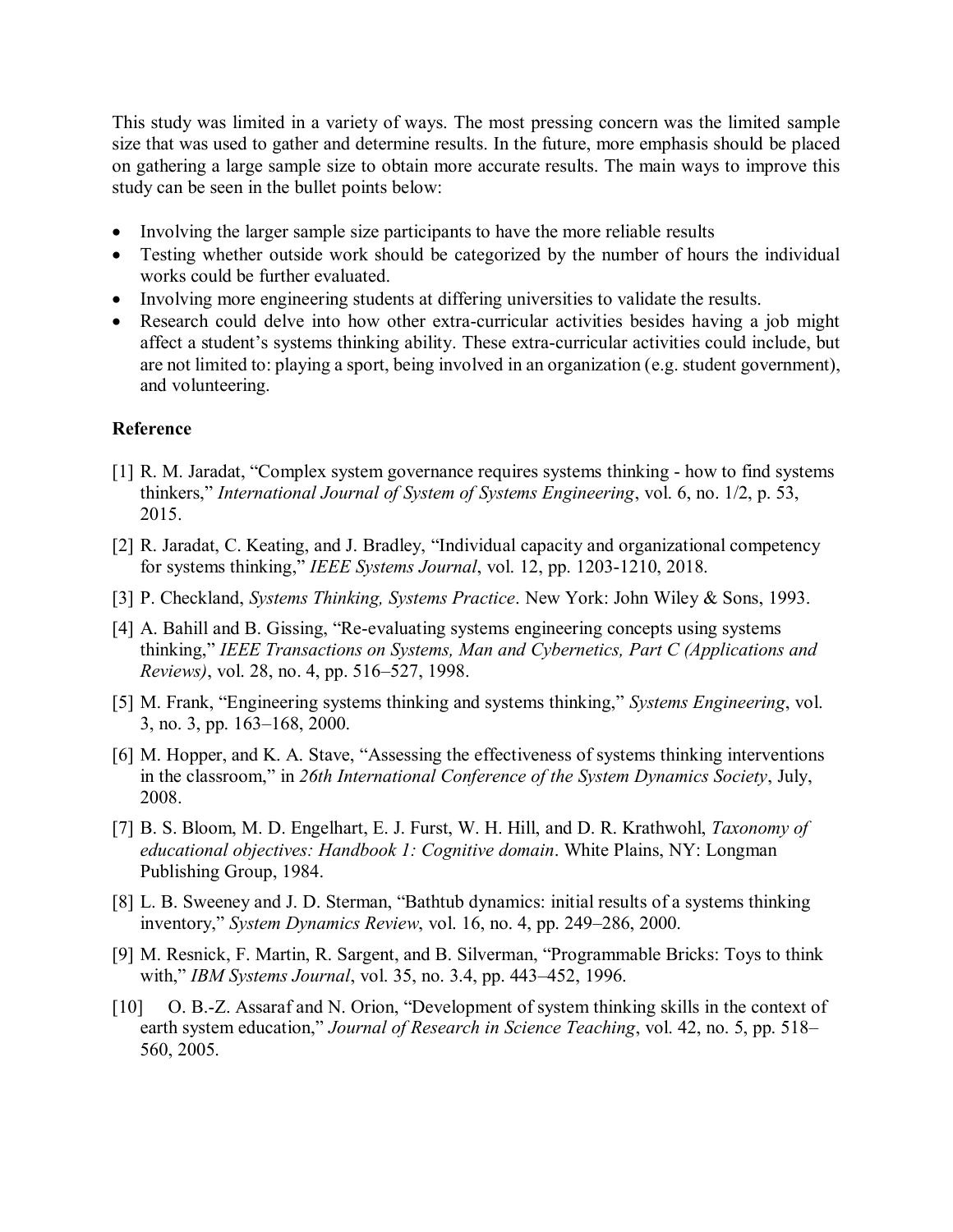This study was limited in a variety of ways. The most pressing concern was the limited sample size that was used to gather and determine results. In the future, more emphasis should be placed on gathering a large sample size to obtain more accurate results. The main ways to improve this study can be seen in the bullet points below:

- Involving the larger sample size participants to have the more reliable results
- Testing whether outside work should be categorized by the number of hours the individual works could be further evaluated.
- Involving more engineering students at differing universities to validate the results.
- Research could delve into how other extra-curricular activities besides having a job might affect a student's systems thinking ability. These extra-curricular activities could include, but are not limited to: playing a sport, being involved in an organization (e.g. student government), and volunteering.

### **Reference**

- [1] R. M. Jaradat, "Complex system governance requires systems thinking how to find systems thinkers," *International Journal of System of Systems Engineering*, vol. 6, no. 1/2, p. 53, 2015.
- [2] R. Jaradat, C. Keating, and J. Bradley, "Individual capacity and organizational competency for systems thinking," *IEEE Systems Journal*, vol. 12, pp. 1203-1210, 2018.
- [3] P. Checkland, *Systems Thinking, Systems Practice*. New York: John Wiley & Sons, 1993.
- [4] A. Bahill and B. Gissing, "Re-evaluating systems engineering concepts using systems thinking," *IEEE Transactions on Systems, Man and Cybernetics, Part C (Applications and Reviews)*, vol. 28, no. 4, pp. 516–527, 1998.
- [5] M. Frank, "Engineering systems thinking and systems thinking," *Systems Engineering*, vol. 3, no. 3, pp. 163–168, 2000.
- [6] M. Hopper, and K. A. Stave, "Assessing the effectiveness of systems thinking interventions in the classroom," in *26th International Conference of the System Dynamics Society*, July, 2008.
- [7] B. S. Bloom, M. D. Engelhart, E. J. Furst, W. H. Hill, and D. R. Krathwohl, *Taxonomy of educational objectives: Handbook 1: Cognitive domain*. White Plains, NY: Longman Publishing Group, 1984.
- [8] L. B. Sweeney and J. D. Sterman, "Bathtub dynamics: initial results of a systems thinking inventory," *System Dynamics Review*, vol. 16, no. 4, pp. 249–286, 2000.
- [9] M. Resnick, F. Martin, R. Sargent, and B. Silverman, "Programmable Bricks: Toys to think with," *IBM Systems Journal*, vol. 35, no. 3.4, pp. 443–452, 1996.
- [10] O. B.-Z. Assaraf and N. Orion, "Development of system thinking skills in the context of earth system education," *Journal of Research in Science Teaching*, vol. 42, no. 5, pp. 518– 560, 2005.